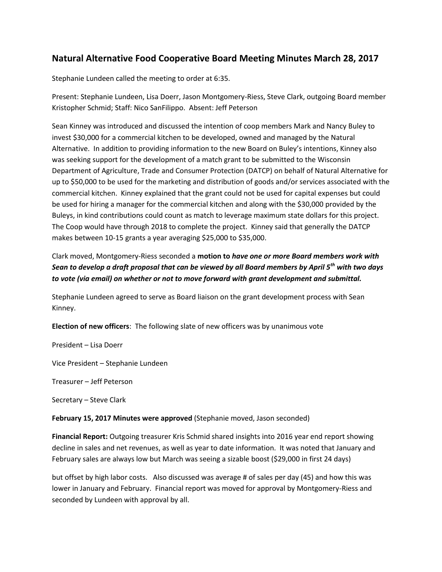## **Natural Alternative Food Cooperative Board Meeting Minutes March 28, 2017**

Stephanie Lundeen called the meeting to order at 6:35.

Present: Stephanie Lundeen, Lisa Doerr, Jason Montgomery-Riess, Steve Clark, outgoing Board member Kristopher Schmid; Staff: Nico SanFilippo. Absent: Jeff Peterson

Sean Kinney was introduced and discussed the intention of coop members Mark and Nancy Buley to invest \$30,000 for a commercial kitchen to be developed, owned and managed by the Natural Alternative. In addition to providing information to the new Board on Buley's intentions, Kinney also was seeking support for the development of a match grant to be submitted to the Wisconsin Department of Agriculture, Trade and Consumer Protection (DATCP) on behalf of Natural Alternative for up to \$50,000 to be used for the marketing and distribution of goods and/or services associated with the commercial kitchen. Kinney explained that the grant could not be used for capital expenses but could be used for hiring a manager for the commercial kitchen and along with the \$30,000 provided by the Buleys, in kind contributions could count as match to leverage maximum state dollars for this project. The Coop would have through 2018 to complete the project. Kinney said that generally the DATCP makes between 10-15 grants a year averaging \$25,000 to \$35,000.

## Clark moved, Montgomery-Riess seconded a **motion to** *have one or more Board members work with Sean to develop a draft proposal that can be viewed by all Board members by April 5th with two days to vote (via email) on whether or not to move forward with grant development and submittal.*

Stephanie Lundeen agreed to serve as Board liaison on the grant development process with Sean Kinney.

**Election of new officers**: The following slate of new officers was by unanimous vote

President – Lisa Doerr

Vice President – Stephanie Lundeen

Treasurer – Jeff Peterson

Secretary – Steve Clark

**February 15, 2017 Minutes were approved** (Stephanie moved, Jason seconded)

**Financial Report:** Outgoing treasurer Kris Schmid shared insights into 2016 year end report showing decline in sales and net revenues, as well as year to date information. It was noted that January and February sales are always low but March was seeing a sizable boost (\$29,000 in first 24 days)

but offset by high labor costs. Also discussed was average # of sales per day (45) and how this was lower in January and February. Financial report was moved for approval by Montgomery-Riess and seconded by Lundeen with approval by all.